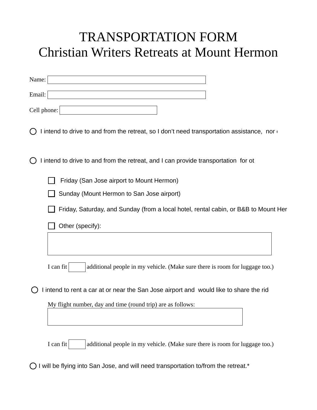## TRANSPORTATION FORM Christian Writers Retreats at Mount Hermon

| Name:       |  |
|-------------|--|
| Email:      |  |
| Cell phone: |  |

 $\bigcap$  I intend to drive to and from the retreat, so I don't need transportation assistance, nor others.

 $\bigcirc$  I intend to drive to and from the retreat, and I can provide transportation for ot

Friday (San Jose airport to Mount Hermon)

Sunday (Mount Hermon to San Jose airport)

Friday, Saturday, and Sunday (from a local hotel, rental cabin, or B&B to Mount Her

Other (specify):

I can fit  $\vert$  additional people in my vehicle. (Make sure there is room for luggage too.)

 $\bigcirc$  I intend to rent a car at or near the San Jose airport and would like to share the ride

My flight number, day and time (round trip) are as follows:

I can fit  $\vert$  additional people in my vehicle. (Make sure there is room for luggage too.)

 $\bigcirc$  I will be flying into San Jose, and will need transportation to/from the retreat.\*